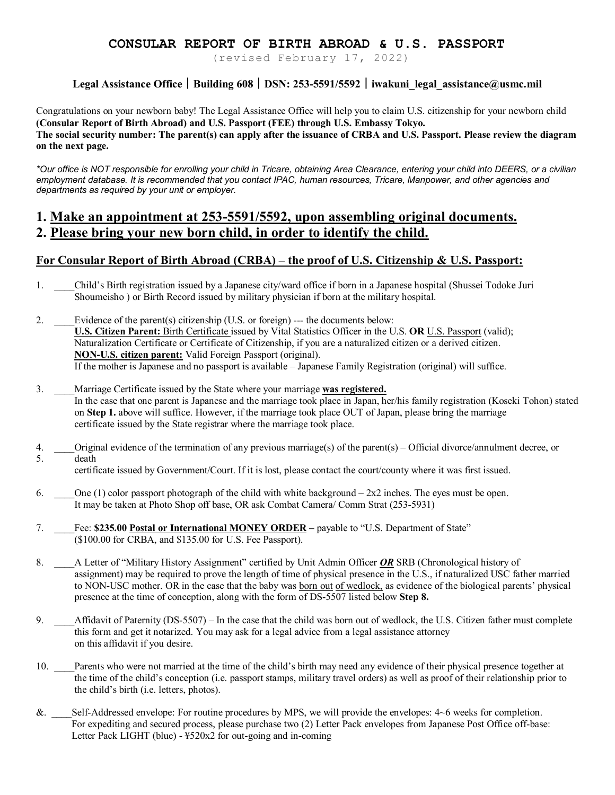### **CONSULAR REPORT OF BIRTH ABROAD & U.S. PASSPORT**

(revised February 17, 2022)

### **Legal Assistance Office︱Building 608︱DSN: 253-5591/5592︱iwakuni\_legal\_assistance@usmc.mil**

Congratulations on your newborn baby! The Legal Assistance Office will help you to claim U.S. citizenship for your newborn child **(Consular Report of Birth Abroad) and U.S. Passport (FEE) through U.S. Embassy Tokyo. The social security number: The parent(s) can apply after the issuance of CRBA and U.S. Passport. Please review the diagram on the next page.**

*\*Our office is NOT responsible for enrolling your child in Tricare, obtaining Area Clearance, entering your child into DEERS, or a civilian employment database. It is recommended that you contact IPAC, human resources, Tricare, Manpower, and other agencies and departments as required by your unit or employer.*

### **1. Make an appointment at 253-5591/5592, upon assembling original documents. 2. Please bring your new born child, in order to identify the child.**

#### **For Consular Report of Birth Abroad (CRBA) – the proof of U.S. Citizenship & U.S. Passport:**

- 1. \_\_\_\_Child's Birth registration issued by a Japanese city/ward office if born in a Japanese hospital (Shussei Todoke Juri Shoumeisho ) or Birth Record issued by military physician if born at the military hospital.
- 2. Evidence of the parent(s) citizenship (U.S. or foreign) --- the documents below: **U.S. Citizen Parent:** Birth Certificate issued by Vital Statistics Officer in the U.S. **OR** U.S. Passport (valid); Naturalization Certificate or Certificate of Citizenship, if you are a naturalized citizen or a derived citizen. **NON-U.S. citizen parent:** Valid Foreign Passport (original). If the mother is Japanese and no passport is available – Japanese Family Registration (original) will suffice.
- 3. \_\_\_\_Marriage Certificate issued by the State where your marriage **was registered.** In the case that one parent is Japanese and the marriage took place in Japan, her/his family registration (Koseki Tohon) stated on **Step 1.** above will suffice. However, if the marriage took place OUT of Japan, please bring the marriage certificate issued by the State registrar where the marriage took place.
- 4. \_\_\_\_Original evidence of the termination of any previous marriage(s) of the parent(s) Official divorce/annulment decree, or 5. death

certificate issued by Government/Court. If it is lost, please contact the court/county where it was first issued.

- 6. One (1) color passport photograph of the child with white background  $2x2$  inches. The eyes must be open. It may be taken at Photo Shop off base, OR ask Combat Camera/ Comm Strat (253-5931)
- 7. \_\_\_\_Fee: **\$235.00 Postal or International MONEY ORDER –** payable to "U.S. Department of State" (\$100.00 for CRBA, and \$135.00 for U.S. Fee Passport).
- 8. A Letter of "Military History Assignment" certified by Unit Admin Officer **OR** SRB (Chronological history of assignment) may be required to prove the length of time of physical presence in the U.S., if naturalized USC father married to NON-USC mother. OR in the case that the baby was born out of wedlock, as evidence of the biological parents' physical presence at the time of conception, along with the form of DS-5507 listed below **Step 8.**
- 9. \_\_\_\_Affidavit of Paternity (DS-5507) In the case that the child was born out of wedlock, the U.S. Citizen father must complete this form and get it notarized. You may ask for a legal advice from a legal assistance attorney on this affidavit if you desire.
- 10. \_\_\_\_Parents who were not married at the time of the child's birth may need any evidence of their physical presence together at the time of the child's conception (i.e. passport stamps, military travel orders) as well as proof of their relationship prior to the child's birth (i.e. letters, photos).
- &. \_\_\_\_Self-Addressed envelope: For routine procedures by MPS, we will provide the envelopes: 4~6 weeks for completion. For expediting and secured process, please purchase two (2) Letter Pack envelopes from Japanese Post Office off-base: Letter Pack LIGHT (blue) - ¥520x2 for out-going and in-coming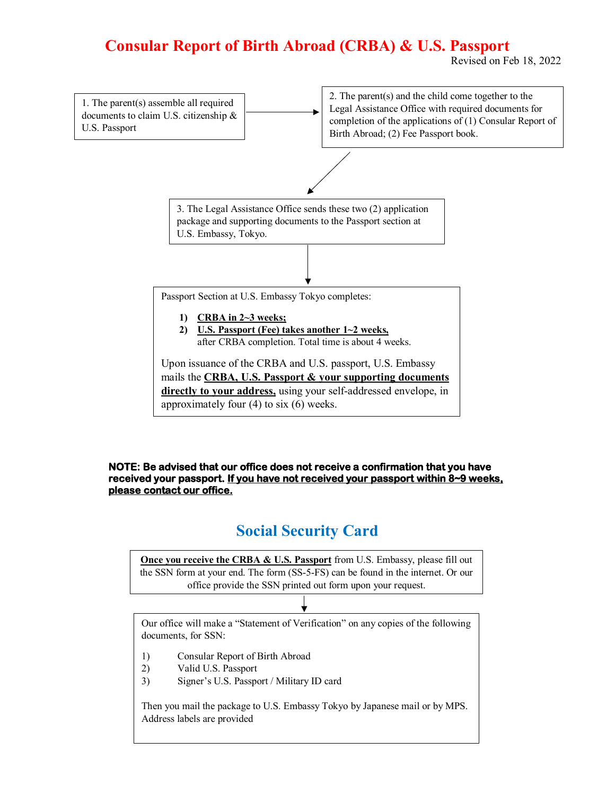## **Consular Report of Birth Abroad (CRBA) & U.S. Passport**

Revised on Feb 18, 2022



#### **NOTE: Be advised that our office does not receive a confirmation that you have received your passport. If you have not received your passport within 8~9 weeks, please contact our office.**

## **Social Security Card**

**Once you receive the CRBA & U.S. Passport** from U.S. Embassy, please fill out the SSN form at your end. The form (SS-5-FS) can be found in the internet. Or our office provide the SSN printed out form upon your request.

Our office will make a "Statement of Verification" on any copies of the following documents, for SSN:

- 1) Consular Report of Birth Abroad
- 2) Valid U.S. Passport
- 3) Signer's U.S. Passport / Military ID card

Then you mail the package to U.S. Embassy Tokyo by Japanese mail or by MPS. Address labels are provided